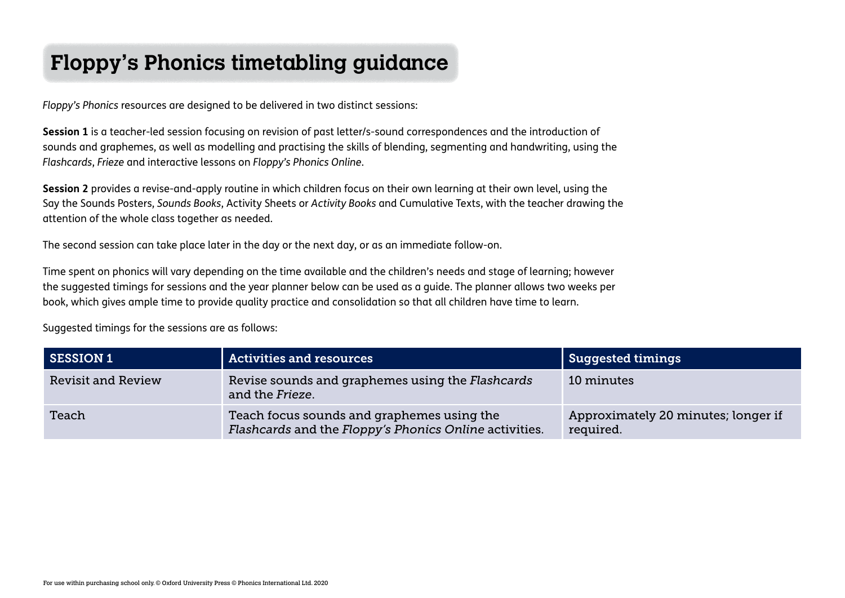## **Floppy's Phonics timetabling guidance**

*Floppy's Phonics* resources are designed to be delivered in two distinct sessions:

**Session 1** is a teacher-led session focusing on revision of past letter/s-sound correspondences and the introduction of sounds and graphemes, as well as modelling and practising the skills of blending, segmenting and handwriting, using the *Flashcards*, *Frieze* and interactive lessons on *Floppy's Phonics Online*.

**Session 2** provides a revise-and-apply routine in which children focus on their own learning at their own level, using the Say the Sounds Posters, *Sounds Books*, Activity Sheets or *Activity Books* and Cumulative Texts, with the teacher drawing the attention of the whole class together as needed.

The second session can take place later in the day or the next day, or as an immediate follow-on.

Time spent on phonics will vary depending on the time available and the children's needs and stage of learning; however the suggested timings for sessions and the year planner below can be used as a guide. The planner allows two weeks per book, which gives ample time to provide quality practice and consolidation so that all children have time to learn.

Suggested timings for the sessions are as follows:

| SESSION 1                 | <b>Activities and resources</b>                                                                      | Suggested timings                                |
|---------------------------|------------------------------------------------------------------------------------------------------|--------------------------------------------------|
| <b>Revisit and Review</b> | Revise sounds and graphemes using the Flashcards<br>and the Frieze.                                  | 10 minutes                                       |
| Teach                     | Teach focus sounds and graphemes using the<br>Flashcards and the Floppy's Phonics Online activities. | Approximately 20 minutes; longer if<br>required. |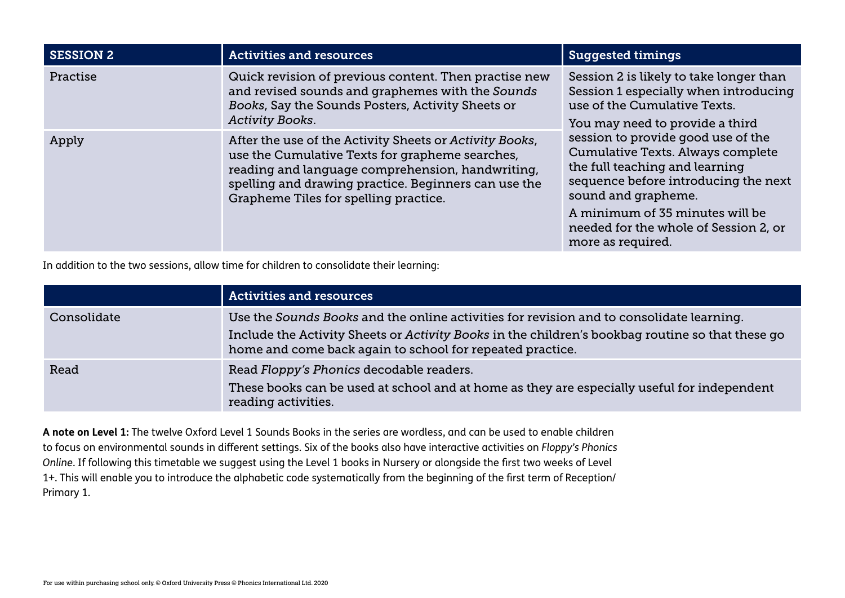| <b>SESSION 2</b> | <b>Activities and resources</b>                                                                                                                                                                                                                                 | <b>Suggested timings</b>                                                                                                                                                                                                                                                  |
|------------------|-----------------------------------------------------------------------------------------------------------------------------------------------------------------------------------------------------------------------------------------------------------------|---------------------------------------------------------------------------------------------------------------------------------------------------------------------------------------------------------------------------------------------------------------------------|
| Practise         | Quick revision of previous content. Then practise new<br>and revised sounds and graphemes with the Sounds<br>Books, Say the Sounds Posters, Activity Sheets or<br><b>Activity Books.</b>                                                                        | Session 2 is likely to take longer than<br>Session 1 especially when introducing<br>use of the Cumulative Texts.<br>You may need to provide a third                                                                                                                       |
| Apply            | After the use of the Activity Sheets or Activity Books,<br>use the Cumulative Texts for grapheme searches,<br>reading and language comprehension, handwriting,<br>spelling and drawing practice. Beginners can use the<br>Grapheme Tiles for spelling practice. | session to provide good use of the<br>Cumulative Texts. Always complete<br>the full teaching and learning<br>sequence before introducing the next<br>sound and grapheme.<br>A minimum of 35 minutes will be<br>needed for the whole of Session 2, or<br>more as required. |

In addition to the two sessions, allow time for children to consolidate their learning:

|             | <b>Activities and resources</b>                                                                                                                                                                                                                           |
|-------------|-----------------------------------------------------------------------------------------------------------------------------------------------------------------------------------------------------------------------------------------------------------|
| Consolidate | Use the Sounds Books and the online activities for revision and to consolidate learning.<br>Include the Activity Sheets or Activity Books in the children's bookbag routine so that these go<br>home and come back again to school for repeated practice. |
| Read        | Read Floppy's Phonics decodable readers.<br>These books can be used at school and at home as they are especially useful for independent<br>reading activities.                                                                                            |

**A note on Level 1:** The twelve Oxford Level 1 Sounds Books in the series are wordless, and can be used to enable children to focus on environmental sounds in different settings. Six of the books also have interactive activities on *Floppy's Phonics Online*. If following this timetable we suggest using the Level 1 books in Nursery or alongside the first two weeks of Level 1+. This will enable you to introduce the alphabetic code systematically from the beginning of the first term of Reception/ Primary 1.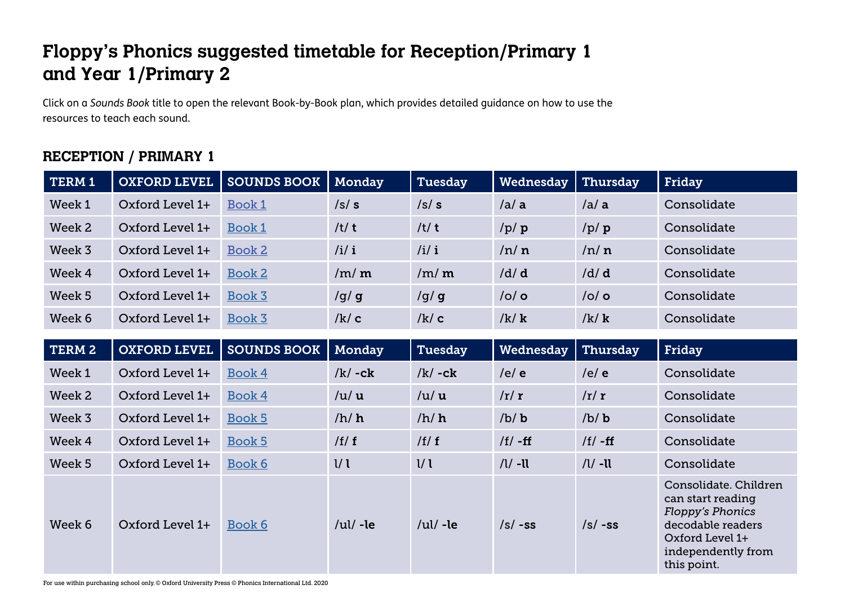## **Floppy's Phonics suggested timetable for Reception/Primary 1 and Year 1/Primary 2**

Click on a *Sounds Book* title to open the relevant Book-by-Book plan, which provides detailed guidance on how to use the resources to teach each sound.

## **RECEPTION / PRIMARY 1**

| TERM 1 | <b>OXFORD LEVEL</b> | <b>SOUNDS BOOK</b> | Monday        | Tuesday       | Wednesday   | Thursday   | Friday                                                                                                                                             |
|--------|---------------------|--------------------|---------------|---------------|-------------|------------|----------------------------------------------------------------------------------------------------------------------------------------------------|
| Week 1 | Oxford Level 1+     | Book 1             | /s/s          | /s/s          | / a / a     | / a / a    | Consolidate                                                                                                                                        |
| Week 2 | Oxford Level 1+     | Book 1             | /t/ $t$       | /t/t          | /p/p        | /p/p       | Consolidate                                                                                                                                        |
| Week 3 | Oxford Level 1+     | Book 2             | /i/ i         | /i/ i         | /n/n        | /n/n       | Consolidate                                                                                                                                        |
| Week 4 | Oxford Level 1+     | Book 2             | /m/m          | /m/m          | /d/d        | /d/d       | Consolidate                                                                                                                                        |
| Week 5 | Oxford Level 1+     | Book 3             | /g/g          | /g/g          | $/$ o $/$ o | $/$ o/o    | Consolidate                                                                                                                                        |
| Week 6 | Oxford Level 1+     | Book 3             | /k/c          | /k/c          | /k/k        | /k/k       | Consolidate                                                                                                                                        |
| TERM 2 | <b>OXFORD LEVEL</b> | <b>SOUNDS BOOK</b> | Monday        | Tuesday       | Wednesday   | Thursday   | Friday                                                                                                                                             |
|        |                     |                    |               |               |             |            |                                                                                                                                                    |
| Week 1 | Oxford Level 1+     | Book 4             | $/k/ - c k$   | $/k/ - c k$   | /e/e        | /e/e       | Consolidate                                                                                                                                        |
| Week 2 | Oxford Level 1+     | Book 4             | /u/u          | /u/u          | /r/r        | /r/r       | Consolidate                                                                                                                                        |
| Week 3 | Oxford Level 1+     | Book 5             | /h/h          | /h/h          | /b/b        | /b/b       | Consolidate                                                                                                                                        |
| Week 4 | Oxford Level 1+     | Book 5             | /f/f          | /f/f          | $/f/ - ff$  | $/f/ - ff$ | Consolidate                                                                                                                                        |
| Week 5 | Oxford Level 1+     | Book 6             | $\frac{1}{l}$ | $\frac{1}{l}$ | $/l/$ -ll   | $/l/$ -ll  | Consolidate                                                                                                                                        |
| Week 6 | Oxford Level 1+     | Book 6             | / $ul$ /-le   | / $ul$ /-le   | $/s/ - ss$  | $/s/ - ss$ | Consolidate. Children<br>can start reading<br><b>Floppy's Phonics</b><br>decodable readers<br>Oxford Level 1+<br>independently from<br>this point. |

For use within purchasing school only. © Oxford University Press © Phonics International Ltd. 2020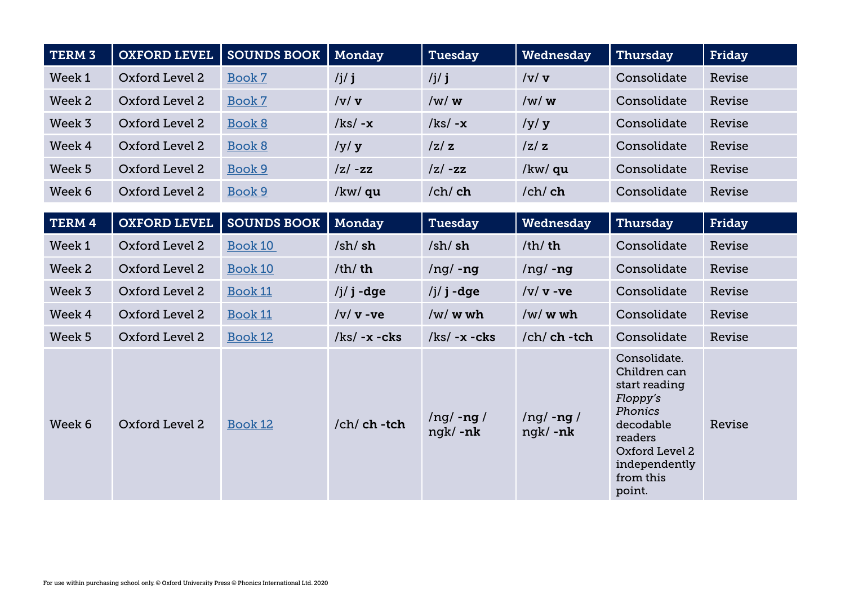| TERM <sub>3</sub> | <b>OXFORD LEVEL</b> | <b>SOUNDS BOOK</b> | Monday                 | <b>Tuesday</b>             | Wednesday                  | Thursday                                                                                                                                               | Friday |
|-------------------|---------------------|--------------------|------------------------|----------------------------|----------------------------|--------------------------------------------------------------------------------------------------------------------------------------------------------|--------|
| Week 1            | Oxford Level 2      | Book 7             | /j/ $j$                | /j/ $j$                    | /v/v                       | Consolidate                                                                                                                                            | Revise |
| Week 2            | Oxford Level 2      | Book 7             | /v/v                   | /w/w                       | /w/w                       | Consolidate                                                                                                                                            | Revise |
| Week 3            | Oxford Level 2      | Book 8             | $/kg - x$              | $/kg - x$                  | /y/y                       | Consolidate                                                                                                                                            | Revise |
| Week 4            | Oxford Level 2      | Book 8             | /y/y                   | z z                        | z z                        | Consolidate                                                                                                                                            | Revise |
| Week 5            | Oxford Level 2      | Book 9             | $ z $ -zz              | $ z $ -zz                  | /kw/ qu                    | Consolidate                                                                                                                                            | Revise |
| Week 6            | Oxford Level 2      | Book 9             | /kw/ qu                | /ch/ ch                    | /ch/ch                     | Consolidate                                                                                                                                            | Revise |
|                   |                     |                    |                        |                            |                            |                                                                                                                                                        |        |
| TERM 4            | <b>OXFORD LEVEL</b> | <b>SOUNDS BOOK</b> | Monday                 | Tuesday                    | Wednesday                  | <b>Thursday</b>                                                                                                                                        | Friday |
| Week 1            | Oxford Level 2      | Book 10            | $/\sh/\sh$             | $/\sh/\sh$                 | /th/ $th$                  | Consolidate                                                                                                                                            | Revise |
| Week 2            | Oxford Level 2      | Book 10            | $/\text{th}/\text{th}$ | $\log$ -ng                 | $\log$ -ng                 | Consolidate                                                                                                                                            | Revise |
| Week 3            | Oxford Level 2      | <b>Book 11</b>     | $/j/ j$ -dge           | $/j/ j$ -dge               | $/v/v$ -ve                 | Consolidate                                                                                                                                            | Revise |
| Week 4            | Oxford Level 2      | Book 11            | $/v/v$ -ve             | $/w/w$ wh                  | $/w/w$ wh                  | Consolidate                                                                                                                                            | Revise |
| Week 5            | Oxford Level 2      | Book 12            | $k$ s/ -x -cks         | $k$ s/ -x -cks             | $/ch/ch$ -tch              | Consolidate                                                                                                                                            | Revise |
| Week 6            | Oxford Level 2      | Book 12            | $/ch$ ch -tch          | $\log$ -ng /<br>$ngk/ -nk$ | $\log$ -ng /<br>$ngk/ -nk$ | Consolidate.<br>Children can<br>start reading<br>Floppy's<br>Phonics<br>decodable<br>readers<br>Oxford Level 2<br>independently<br>from this<br>point. | Revise |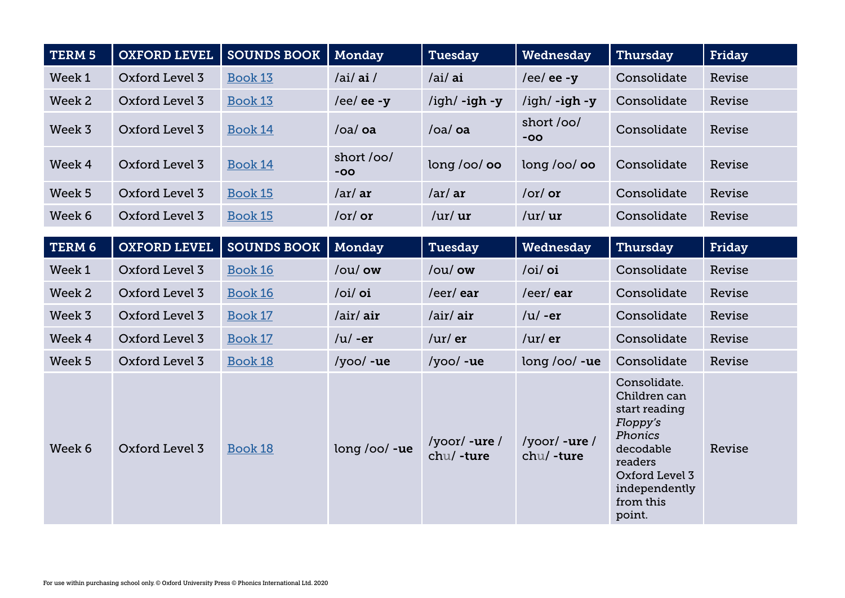| TERM <sub>5</sub> | <b>OXFORD LEVEL</b> | <b>SOUNDS BOOK</b> | Monday              | <b>Tuesday</b>                     | Wednesday                          | Thursday                                                                                                                                               | Friday |
|-------------------|---------------------|--------------------|---------------------|------------------------------------|------------------------------------|--------------------------------------------------------------------------------------------------------------------------------------------------------|--------|
| Week 1            | Oxford Level 3      | <b>Book 13</b>     | /ai/ai/             | /ai/ ai                            | /ee/ ee - $y$                      | Consolidate                                                                                                                                            | Revise |
| Week 2            | Oxford Level 3      | <b>Book 13</b>     | /ee/ ee - $y$       | /igh/ -igh -y                      | $\frac{\gamma}{g}$ /igh -y         | Consolidate                                                                                                                                            | Revise |
| Week 3            | Oxford Level 3      | <b>Book 14</b>     | /oa/oa              | /oa/oa                             | short/00/<br>$-00$                 | Consolidate                                                                                                                                            | Revise |
| Week 4            | Oxford Level 3      | Book 14            | short /oo/<br>$-OO$ | long /oo/ oo                       | long/oo/oo                         | Consolidate                                                                                                                                            | Revise |
| Week 5            | Oxford Level 3      | Book 15            | /ar/ar              | /ar/ar                             | /or/ $or$                          | Consolidate                                                                                                                                            | Revise |
| Week 6            | Oxford Level 3      | <b>Book 15</b>     | $/or/$ or           | / $\text{ur}/\text{ur}$            | / $\text{ur}/\text{ur}$            | Consolidate                                                                                                                                            | Revise |
| TERM 6            | <b>OXFORD LEVEL</b> | <b>SOUNDS BOOK</b> | Monday              | <b>Tuesday</b>                     | Wednesday                          | Thursday                                                                                                                                               | Friday |
| Week 1            | Oxford Level 3      | Book 16            | /ou/ ow             | /ou/ ow                            | /oi/ oi                            | Consolidate                                                                                                                                            | Revise |
|                   |                     |                    |                     |                                    |                                    |                                                                                                                                                        |        |
| Week 2            | Oxford Level 3      | <b>Book 16</b>     | /oi/ oi             | /eer/ear                           | /eer/ear                           | Consolidate                                                                                                                                            | Revise |
| Week <sub>3</sub> | Oxford Level 3      | Book 17            | /air/ air           | /air/ air                          | $/u$ /-er                          | Consolidate                                                                                                                                            | Revise |
| Week 4            | Oxford Level 3      | Book 17            | $/u/$ -er           | $/$ ur $/$ er                      | $/$ ur $/$ er                      | Consolidate                                                                                                                                            | Revise |
| Week 5            | Oxford Level 3      | Book 18            | /yoo/ -ue           | $/yoo/ -ue$                        | $long /oo/ -ue$                    | Consolidate                                                                                                                                            | Revise |
| Week 6            | Oxford Level 3      | Book 18            | $long /oo/ -ue$     | $/y$ oor $/$ -ure $/$<br>chu/-ture | $/y$ oor $/$ -ure $/$<br>chu/-ture | Consolidate.<br>Children can<br>start reading<br>Floppy's<br>Phonics<br>decodable<br>readers<br>Oxford Level 3<br>independently<br>from this<br>point. | Revise |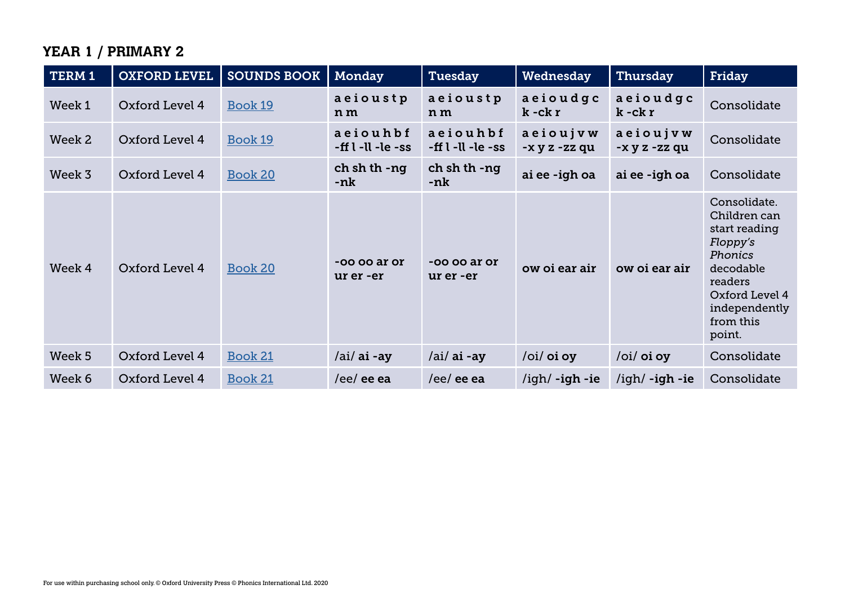## **YEAR 1 / PRIMARY 2**

| TERM 1 | <b>OXFORD LEVEL</b> | <b>SOUNDS BOOK</b> | Monday                          | <b>Tuesday</b>                | Wednesday                                  | Thursday                  | Friday                                                                                                                                                        |
|--------|---------------------|--------------------|---------------------------------|-------------------------------|--------------------------------------------|---------------------------|---------------------------------------------------------------------------------------------------------------------------------------------------------------|
| Week 1 | Oxford Level 4      | Book 19            | aeioustp<br>n m                 | aeioustp<br>n m               | aeioudgc<br>$k - c k r$                    | aeioudgc<br>$k - c k r$   | Consolidate                                                                                                                                                   |
| Week 2 | Oxford Level 4      | Book 19            | aeiouhbf<br>-ff $l$ -ll -le -ss | aeiouhbf<br>-ff l -ll -le -ss | aeioujvw<br>-x y z -zz qu                  | aeioujvw<br>-x y z -zz qu | Consolidate                                                                                                                                                   |
| Week 3 | Oxford Level 4      | Book 20            | ch sh th -ng<br>-nk             | ch sh th -ng<br>-nk           | ai ee -igh oa                              | ai ee -igh oa             | Consolidate                                                                                                                                                   |
| Week 4 | Oxford Level 4      | Book 20            | $-0000$ ar or<br>ur er -er      | -oo oo ar or<br>ur er -er     | ow oi ear air                              | ow oi ear air             | Consolidate.<br>Children can<br>start reading<br>Floppy's<br><b>Phonics</b><br>decodable<br>readers<br>Oxford Level 4<br>independently<br>from this<br>point. |
| Week 5 | Oxford Level 4      | Book 21            | $/ai/ai$ -ay                    | $/ai/ai$ -ay                  | $\overline{\overline{\mathrm{o}}}$ i/oi oy | /oi/ oi oy                | Consolidate                                                                                                                                                   |
| Week 6 | Oxford Level 4      | Book 21            | /ee/ ee ea                      | /ee/ ee ea                    | $\frac{1}{q}$ -igh -ie                     | $\frac{1}{q}$ -igh -ie    | Consolidate                                                                                                                                                   |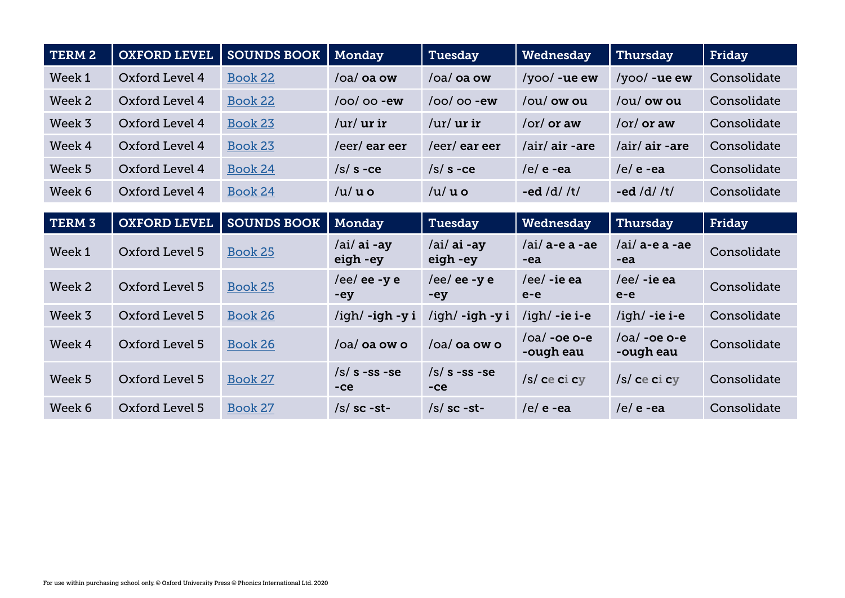| TERM 2            | <b>OXFORD LEVEL</b> | <b>SOUNDS BOOK</b> | Monday                   | <b>Tuesday</b>           | Wednesday                    | Thursday                         | Friday      |
|-------------------|---------------------|--------------------|--------------------------|--------------------------|------------------------------|----------------------------------|-------------|
| Week 1            | Oxford Level 4      | Book 22            | /oa/ oa ow               | $/oa/oa$ ow              | $\frac{1}{\sqrt{2}}$ -ue ew  | $/$ yoo $/$ -ue ew               | Consolidate |
| Week 2            | Oxford Level 4      | Book 22            | $/$ oo $/$ oo -ew        | $/$ oo $/$ oo -ew        | /ou/ ow ou                   | /ou/ ow ou                       | Consolidate |
| Week 3            | Oxford Level 4      | Book 23            | $/$ ur $/$ ur ir         | / $\mu r / \mu r$ ir     | $\sigma$ /or $\sigma$ /or aw | /or/ or aw                       | Consolidate |
| Week 4            | Oxford Level 4      | Book 23            | /eer/eareer              | /eer/eareer              | /air/ air -are               | $/air/air$ -are                  | Consolidate |
| Week 5            | Oxford Level 4      | Book 24            | $/s/s - ce$              | $/s/s$ -ce               | $/e/e$ -ea                   | $/e/e$ -ea                       | Consolidate |
| Week 6            | Oxford Level 4      | Book 24            | $/u/u$ o                 | $/u/u$ o                 | -ed /d/ /t/                  | -ed /d/ $/t/$                    | Consolidate |
|                   |                     |                    |                          |                          |                              |                                  |             |
| TERM <sub>3</sub> | <b>OXFORD LEVEL</b> | <b>SOUNDS BOOK</b> | Monday                   | Tuesday                  | Wednesday                    | Thursday                         | Friday      |
| Week 1            | Oxford Level 5      | Book 25            | $/ai/ai$ -ay<br>eigh -ey | $/ai/ai$ -ay<br>eigh -ey | $/ai/$ a-e a -ae<br>-ea      | /ai/ a-e a -ae<br>$-ea$          | Consolidate |
| Week 2            | Oxford Level 5      | Book 25            | /ee/ ee -y e<br>-ey      | /ee/ee-ye<br>$-ey$       | $/ee/$ -ie ea<br>$e-e$       | $/ee/$ -ie ea<br>$e-e$           | Consolidate |
| Week 3            | Oxford Level 5      | Book 26            | /igh/-igh-yi             | /igh/ <b>-igh -y i</b>   | $\frac{\gamma}{q}$ -ie i-e   | $\frac{\gamma}{2}$ /igh/ -ie i-e | Consolidate |
| Week 4            | Oxford Level 5      | <b>Book 26</b>     | $/$ oa $/$ oa ow o       | /oa/ oa ow o             | $/oa/$ -oe o-e<br>-ough eau  | $/oa/$ -oe o-e<br>-ough eau      | Consolidate |
| Week 5            | Oxford Level 5      | Book 27            | $/s/s$ -ss -se<br>$-ce$  | $/s/s$ -ss -se<br>$-ce$  | /s/ ce ci cy                 | $/s/c$ e ci cy                   | Consolidate |
| Week 6            | Oxford Level 5      | Book 27            | $/s/sc -st$ -            | $/s$ sc -st-             | $/e/e$ -ea                   | $/e/e$ -ea                       | Consolidate |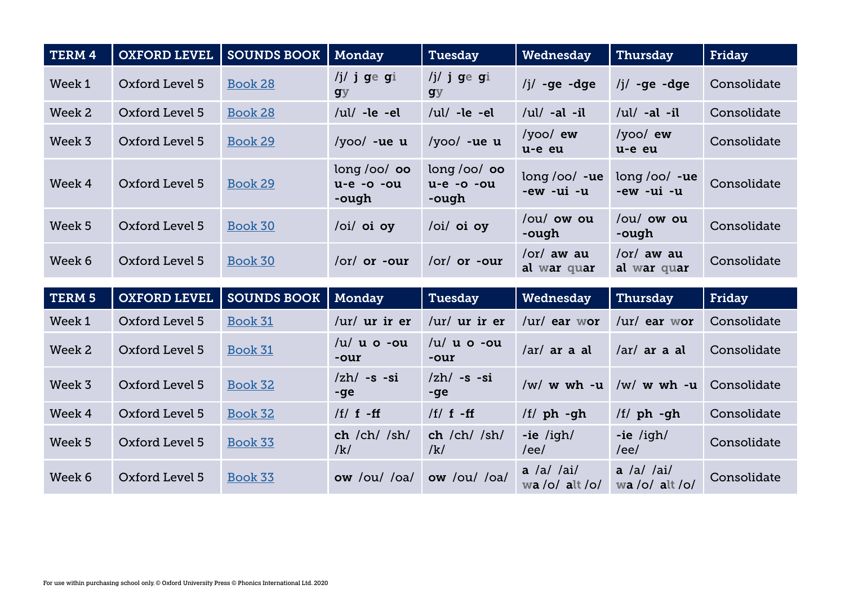| <b>TERM 4</b> | <b>OXFORD LEVEL</b> | <b>SOUNDS BOOK</b> | Monday                              | Tuesday                             | Wednesday                         | Thursday                           | Friday      |
|---------------|---------------------|--------------------|-------------------------------------|-------------------------------------|-----------------------------------|------------------------------------|-------------|
| Week 1        | Oxford Level 5      | Book 28            | /j/ j ge gi<br><b>gy</b>            | /j/ j ge gi<br><b>gy</b>            | $/j/ - ge - dge$                  | $/j/ -ge -dge$                     | Consolidate |
| Week 2        | Oxford Level 5      | <b>Book 28</b>     | / $ul/$ -le -el                     | / $ul/$ -le -el                     | /ul/ -al -il                      | /ul/ -al -il                       | Consolidate |
| Week 3        | Oxford Level 5      | Book 29            | $/yoo/$ -ue u                       | $/yoo/$ -ue u                       | $/$ yoo $/$ ew<br>u-e eu          | $/yoo$ ew<br>u-e eu                | Consolidate |
| Week 4        | Oxford Level 5      | Book 29            | long/oo/oo<br>$u-e -o -ou$<br>-ough | long/oo/oo<br>$u-e -o -ou$<br>-ough | $long/oo/ -ue$<br>-ew -ui -u      | $long/oo/ -ue$<br>-ew -ui -u       | Consolidate |
| Week 5        | Oxford Level 5      | Book 30            | /oi/ oi oy                          | /oi/ oi oy                          | /ou/ ow ou<br>-ough               | $\alpha$ /ou/ ow ou<br>-ough       | Consolidate |
| Week 6        | Oxford Level 5      | Book 30            | $\vert$ or $\vert$ or -our          | /or/ or -our                        | $\sqrt{or}/$ aw au<br>al war quar | $\sigma$ /or/ aw au<br>al war quar | Consolidate |

| <b>TERM 5</b> | <b>OXFORD LEVEL</b> | <b>SOUNDS BOOK</b> | Monday                              | Tuesday                       | Wednesday                           | Thursday                                                  | Friday      |
|---------------|---------------------|--------------------|-------------------------------------|-------------------------------|-------------------------------------|-----------------------------------------------------------|-------------|
| Week 1        | Oxford Level 5      | Book 31            | $/$ ur $/$ ur ir er                 | / $\text{ur}/\text{ur}$ ir er | $/$ ur $/$ ear wor                  | $/$ ur $/$ ear wor                                        | Consolidate |
| Week 2        | Oxford Level 5      | Book 31            | $/u/u$ o -ou<br>-our                | $/u/u$ a $\circ$ -ou<br>-our  | $\sqrt{ar}/ar$ a al                 | $\int \frac{1}{\pi} \, dx$ and $\int \frac{1}{\pi} \, dx$ | Consolidate |
| Week 3        | Oxford Level 5      | Book 32            | $\langle zh/ -s -si \rangle$<br>-ge | $zh/ -s -si$<br>-ge           | $/w/w$ wh -u                        | $/w/w$ wh -u                                              | Consolidate |
| Week 4        | Oxford Level 5      | Book 32            | /f/ $f - ff$                        | /f/ $f - ff$                  | $/f/ph$ -gh                         | /f/ ph -gh                                                | Consolidate |
| Week 5        | Oxford Level 5      | Book 33            | ch /ch/ /sh/<br>/k/                 | ch /ch / sh/<br>/k/           | $-ie$ /igh/<br>/ee/                 | $-ie$ /igh/<br>/ee/                                       | Consolidate |
| Week 6        | Oxford Level 5      | Book 33            | ow /ou / oa/                        | ow /ou/ /oa/                  | $a / a / \alpha i/$<br>wa/o/ alt/o/ | $a / a / \alpha i/$<br>wa/o/ alt/o/                       | Consolidate |